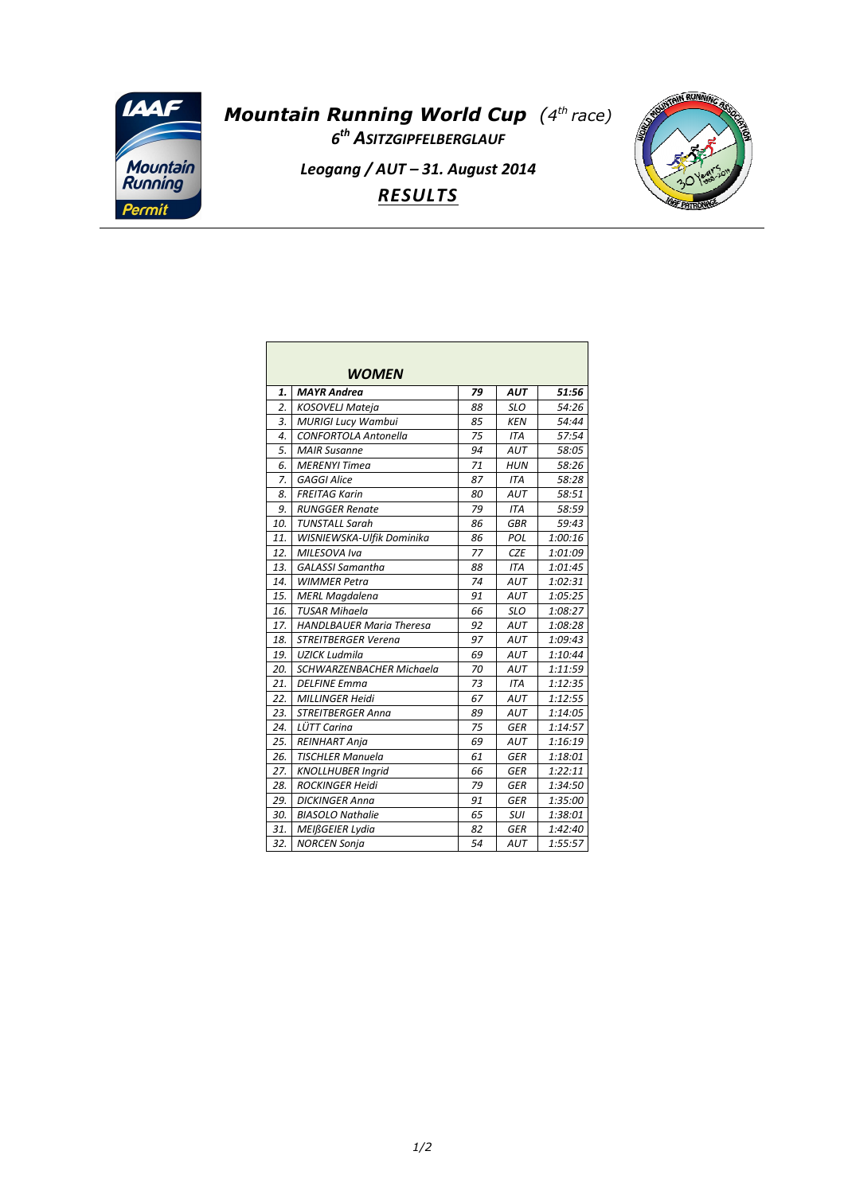

## *Mountain Running World Cup (4 th race) 6 th ASITZGIPFELBERGLAUF Leogang / AUT – 31. August 2014 RESULTS*



| <b>WOMEN</b>     |                                 |    |            |         |  |  |
|------------------|---------------------------------|----|------------|---------|--|--|
| 1.               | <b>MAYR Andrea</b>              | 79 | <b>AUT</b> | 51:56   |  |  |
| $\overline{2}$ . | <b>KOSOVELJ Mateja</b>          | 88 | <b>SLO</b> | 54:26   |  |  |
| 3.               | <b>MURIGI Lucy Wambui</b>       | 85 | <b>KEN</b> | 54:44   |  |  |
| $\overline{4}$ . | <b>CONFORTOLA Antonella</b>     | 75 | <b>ITA</b> | 57:54   |  |  |
| 5.               | <b>MAIR Susanne</b>             | 94 | <b>AUT</b> | 58:05   |  |  |
| 6.               | <b>MERENYI Timea</b>            | 71 | <b>HUN</b> | 58:26   |  |  |
| 7.               | <b>GAGGI Alice</b>              | 87 | <b>ITA</b> | 58:28   |  |  |
| 8.               | <b>FREITAG Karin</b>            | 80 | <b>AUT</b> | 58:51   |  |  |
| 9.               | <b>RUNGGER Renate</b>           | 79 | <b>ITA</b> | 58:59   |  |  |
| 10.              | <b>TUNSTALL Sarah</b>           | 86 | <b>GBR</b> | 59:43   |  |  |
| 11.              | WISNIEWSKA-Ulfik Dominika       | 86 | POL        | 1:00:16 |  |  |
| 12.              | MILESOVA Iva                    | 77 | <b>CZE</b> | 1:01:09 |  |  |
| 13.              | <b>GALASSI Samantha</b>         | 88 | <b>ITA</b> | 1:01:45 |  |  |
| 14.              | <b>WIMMER Petra</b>             | 74 | <b>AUT</b> | 1:02:31 |  |  |
| 15.              | <b>MERL Magdalena</b>           | 91 | <b>AUT</b> | 1:05:25 |  |  |
| 16.              | <b>TUSAR Mihaela</b>            | 66 | <b>SLO</b> | 1:08:27 |  |  |
| 17.              | <b>HANDLBAUER Maria Theresa</b> | 92 | AUT        | 1:08:28 |  |  |
| 18.              | <b>STREITBERGER Verena</b>      | 97 | AUT        | 1:09:43 |  |  |
| 19.              | <b>UZICK Ludmila</b>            | 69 | AUT        | 1:10:44 |  |  |
| 20.              | SCHWARZENBACHER Michaela        | 70 | <b>AUT</b> | 1:11:59 |  |  |
| 21.              | <b>DELFINE Emma</b>             | 73 | <b>ITA</b> | 1:12:35 |  |  |
| 22.              | <b>MILLINGER Heidi</b>          | 67 | AUT        | 1:12:55 |  |  |
| 23.              | <b>STREITBERGER Anna</b>        | 89 | AUT        | 1:14:05 |  |  |
| 24.              | LÜTT Carina                     | 75 | <b>GER</b> | 1:14:57 |  |  |
| 25.              | <b>REINHART Anja</b>            | 69 | <b>AUT</b> | 1:16:19 |  |  |
| 26.              | <b>TISCHLER Manuela</b>         | 61 | <b>GER</b> | 1:18:01 |  |  |
| 27.              | <b>KNOLLHUBER Ingrid</b>        | 66 | <b>GER</b> | 1:22:11 |  |  |
| 28.              | <b>ROCKINGER Heidi</b>          | 79 | <b>GER</b> | 1:34:50 |  |  |
| 29.              | <b>DICKINGER Anna</b>           | 91 | <b>GER</b> | 1:35:00 |  |  |
| 30.              | <b>BIASOLO Nathalie</b>         | 65 | <b>SUI</b> | 1:38:01 |  |  |
| 31.              | MEIßGEIER Lydia                 | 82 | <b>GER</b> | 1:42:40 |  |  |
| 32.              | <b>NORCEN Sonia</b>             | 54 | AUT        | 1:55:57 |  |  |